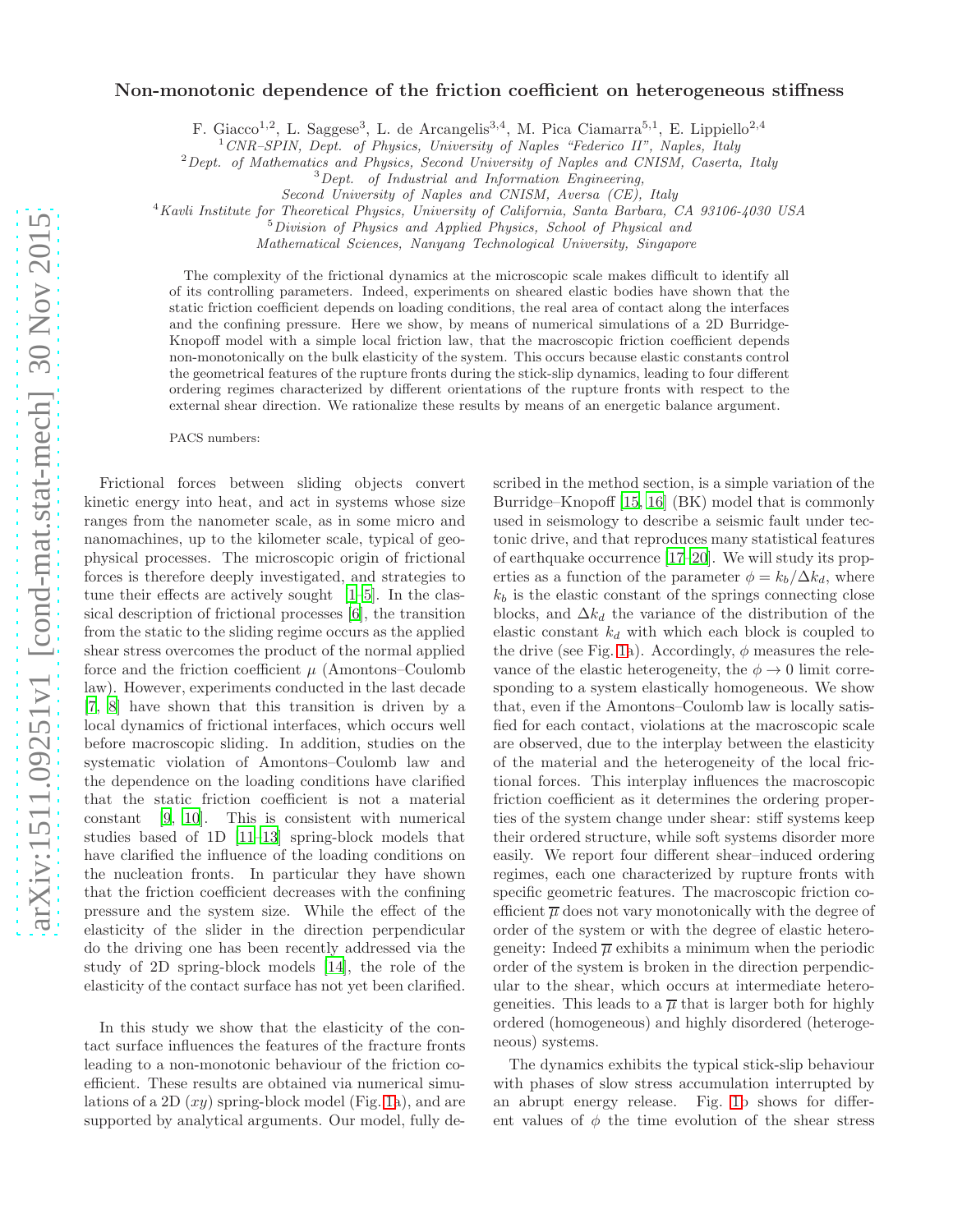## Non-monotonic dependence of the friction coefficient on heterogeneous stiffness

F. Giacco<sup>1,2</sup>, L. Saggese<sup>3</sup>, L. de Arcangelis<sup>3,4</sup>, M. Pica Ciamarra<sup>5,1</sup>, E. Lippiello<sup>2,4</sup>

 $1$  CNR–SPIN, Dept. of Physics, University of Naples "Federico II", Naples, Italy

<sup>2</sup> Dept. of Mathematics and Physics, Second University of Naples and CNISM, Caserta, Italy

<sup>3</sup>Dept. of Industrial and Information Engineering,

Second University of Naples and CNISM, Aversa (CE), Italy

<sup>4</sup>Kavli Institute for Theoretical Physics, University of California, Santa Barbara, CA 93106-4030 USA

<sup>5</sup>Division of Physics and Applied Physics, School of Physical and

Mathematical Sciences, Nanyang Technological University, Singapore

The complexity of the frictional dynamics at the microscopic scale makes difficult to identify all of its controlling parameters. Indeed, experiments on sheared elastic bodies have shown that the static friction coefficient depends on loading conditions, the real area of contact along the interfaces and the confining pressure. Here we show, by means of numerical simulations of a 2D Burridge-Knopoff model with a simple local friction law, that the macroscopic friction coefficient depends non-monotonically on the bulk elasticity of the system. This occurs because elastic constants control the geometrical features of the rupture fronts during the stick-slip dynamics, leading to four different ordering regimes characterized by different orientations of the rupture fronts with respect to the external shear direction. We rationalize these results by means of an energetic balance argument.

PACS numbers:

Frictional forces between sliding objects convert kinetic energy into heat, and act in systems whose size ranges from the nanometer scale, as in some micro and nanomachines, up to the kilometer scale, typical of geophysical processes. The microscopic origin of frictional forces is therefore deeply investigated, and strategies to tune their effects are actively sought [\[1](#page-3-0)[–5\]](#page-4-0). In the classical description of frictional processes [\[6](#page-4-1)], the transition from the static to the sliding regime occurs as the applied shear stress overcomes the product of the normal applied force and the friction coefficient  $\mu$  (Amontons–Coulomb law). However, experiments conducted in the last decade [\[7,](#page-4-2) [8\]](#page-4-3) have shown that this transition is driven by a local dynamics of frictional interfaces, which occurs well before macroscopic sliding. In addition, studies on the systematic violation of Amontons–Coulomb law and the dependence on the loading conditions have clarified that the static friction coefficient is not a material constant [\[9](#page-4-4), [10\]](#page-4-5). This is consistent with numerical studies based of 1D [\[11](#page-4-6)[–13\]](#page-4-7) spring-block models that have clarified the influence of the loading conditions on the nucleation fronts. In particular they have shown that the friction coefficient decreases with the confining pressure and the system size. While the effect of the elasticity of the slider in the direction perpendicular do the driving one has been recently addressed via the study of 2D spring-block models [\[14\]](#page-4-8), the role of the elasticity of the contact surface has not yet been clarified.

In this study we show that the elasticity of the contact surface influences the features of the fracture fronts leading to a non-monotonic behaviour of the friction coefficient. These results are obtained via numerical simulations of a 2D  $(xy)$  spring-block model (Fig. [1a](#page-1-0)), and are supported by analytical arguments. Our model, fully described in the method section, is a simple variation of the Burridge–Knopoff [\[15,](#page-4-9) [16](#page-4-10)] (BK) model that is commonly used in seismology to describe a seismic fault under tectonic drive, and that reproduces many statistical features of earthquake occurrence [\[17](#page-4-11)[–20\]](#page-4-12). We will study its properties as a function of the parameter  $\phi = k_b/\Delta k_d$ , where  $k_b$  is the elastic constant of the springs connecting close blocks, and  $\Delta k_d$  the variance of the distribution of the elastic constant  $k_d$  with which each block is coupled to the drive (see Fig. [1a](#page-1-0)). Accordingly,  $\phi$  measures the relevance of the elastic heterogeneity, the  $\phi \rightarrow 0$  limit corresponding to a system elastically homogeneous. We show that, even if the Amontons–Coulomb law is locally satisfied for each contact, violations at the macroscopic scale are observed, due to the interplay between the elasticity of the material and the heterogeneity of the local frictional forces. This interplay influences the macroscopic friction coefficient as it determines the ordering properties of the system change under shear: stiff systems keep their ordered structure, while soft systems disorder more easily. We report four different shear–induced ordering regimes, each one characterized by rupture fronts with specific geometric features. The macroscopic friction coefficient  $\overline{\mu}$  does not vary monotonically with the degree of order of the system or with the degree of elastic heterogeneity: Indeed  $\overline{\mu}$  exhibits a minimum when the periodic order of the system is broken in the direction perpendicular to the shear, which occurs at intermediate heterogenetties. This leads to a  $\overline{\mu}$  that is larger both for highly ordered (homogeneous) and highly disordered (heterogeneous) systems.

The dynamics exhibits the typical stick-slip behaviour with phases of slow stress accumulation interrupted by an abrupt energy release. Fig. [1b](#page-1-0) shows for different values of  $\phi$  the time evolution of the shear stress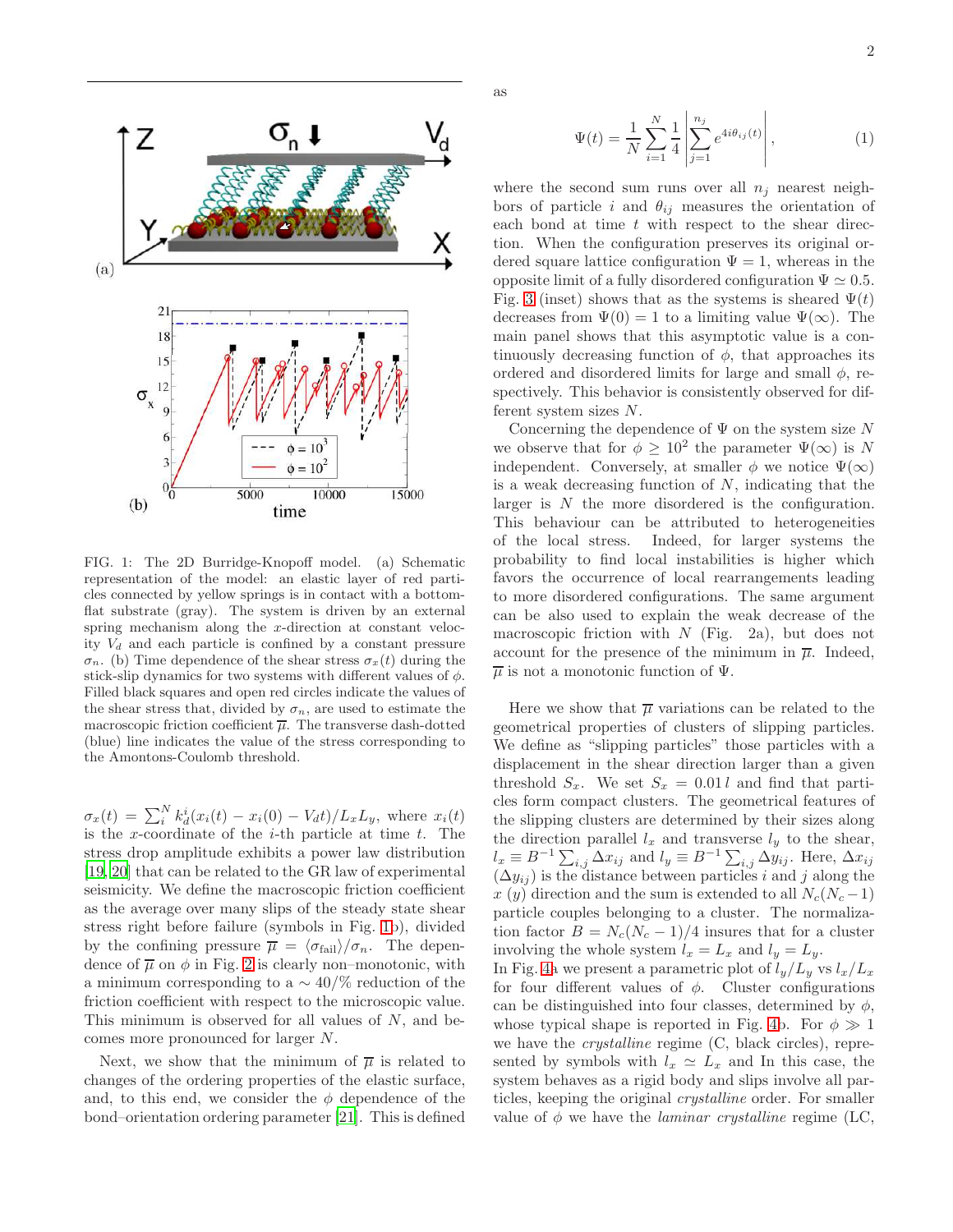

as

2



<span id="page-1-0"></span>FIG. 1: The 2D Burridge-Knopoff model. (a) Schematic representation of the model: an elastic layer of red particles connected by yellow springs is in contact with a bottomflat substrate (gray). The system is driven by an external spring mechanism along the x-direction at constant velocity  $V_d$  and each particle is confined by a constant pressure  $\sigma_n$ . (b) Time dependence of the shear stress  $\sigma_x(t)$  during the stick-slip dynamics for two systems with different values of  $\phi$ . Filled black squares and open red circles indicate the values of the shear stress that, divided by  $\sigma_n$ , are used to estimate the macroscopic friction coefficient  $\overline{\mu}$ . The transverse dash-dotted (blue) line indicates the value of the stress corresponding to the Amontons-Coulomb threshold.

 $\sigma_x(t) = \sum_{i}^{N} k_d^{i}(x_i(t) - x_i(0) - V_d t) / L_x L_y$ , where  $x_i(t)$ is the x-coordinate of the  $i$ -th particle at time  $t$ . The stress drop amplitude exhibits a power law distribution [\[19,](#page-4-13) [20\]](#page-4-12) that can be related to the GR law of experimental seismicity. We define the macroscopic friction coefficient as the average over many slips of the steady state shear stress right before failure (symbols in Fig. [1b](#page-1-0)), divided by the confining pressure  $\overline{\mu} = \langle \sigma_{\text{fail}} \rangle / \sigma_n$ . The dependence of  $\overline{\mu}$  on  $\phi$  in Fig. [2](#page-2-0) is clearly non–monotonic, with a minimum corresponding to a  $\sim$  40/% reduction of the friction coefficient with respect to the microscopic value. This minimum is observed for all values of  $N$ , and becomes more pronounced for larger N.

Next, we show that the minimum of  $\overline{\mu}$  is related to changes of the ordering properties of the elastic surface, and, to this end, we consider the  $\phi$  dependence of the bond–orientation ordering parameter [\[21\]](#page-4-14). This is defined

$$
\Psi(t) = \frac{1}{N} \sum_{i=1}^{N} \frac{1}{4} \left| \sum_{j=1}^{n_j} e^{4i\theta_{ij}(t)} \right|, \tag{1}
$$

where the second sum runs over all  $n_j$  nearest neighbors of particle i and  $\theta_{ij}$  measures the orientation of each bond at time  $t$  with respect to the shear direction. When the configuration preserves its original ordered square lattice configuration  $\Psi = 1$ , whereas in the opposite limit of a fully disordered configuration  $\Psi \simeq 0.5$ . Fig. [3](#page-3-1) (inset) shows that as the systems is sheared  $\Psi(t)$ decreases from  $\Psi(0) = 1$  to a limiting value  $\Psi(\infty)$ . The main panel shows that this asymptotic value is a continuously decreasing function of  $\phi$ , that approaches its ordered and disordered limits for large and small  $\phi$ , respectively. This behavior is consistently observed for different system sizes N.

Concerning the dependence of  $\Psi$  on the system size N we observe that for  $\phi \geq 10^2$  the parameter  $\Psi(\infty)$  is N independent. Conversely, at smaller  $\phi$  we notice  $\Psi(\infty)$ is a weak decreasing function of  $N$ , indicating that the larger is N the more disordered is the configuration. This behaviour can be attributed to heterogeneities of the local stress. Indeed, for larger systems the probability to find local instabilities is higher which favors the occurrence of local rearrangements leading to more disordered configurations. The same argument can be also used to explain the weak decrease of the macroscopic friction with  $N$  (Fig. 2a), but does not account for the presence of the minimum in  $\overline{\mu}$ . Indeed,  $\overline{\mu}$  is not a monotonic function of  $\Psi$ .

Here we show that  $\overline{\mu}$  variations can be related to the geometrical properties of clusters of slipping particles. We define as "slipping particles" those particles with a displacement in the shear direction larger than a given threshold  $S_x$ . We set  $S_x = 0.01 l$  and find that particles form compact clusters. The geometrical features of the slipping clusters are determined by their sizes along the direction parallel  $l_x$  and transverse  $l_y$  to the shear,  $l_x \equiv B^{-1} \sum_{i,j} \Delta x_{ij}$  and  $l_y \equiv B^{-1} \sum_{i,j} \Delta y_{ij}$ . Here,  $\Delta x_{ij}$  $(\Delta y_{ij})$  is the distance between particles i and j along the x (y) direction and the sum is extended to all  $N_c(N_c-1)$ particle couples belonging to a cluster. The normalization factor  $B = N_c(N_c - 1)/4$  insures that for a cluster involving the whole system  $l_x = L_x$  and  $l_y = L_y$ .

In Fig. [4a](#page-3-2) we present a parametric plot of  $l_y/L_y$  vs  $l_x/L_x$ for four different values of  $\phi$ . Cluster configurations can be distinguished into four classes, determined by  $\phi$ , whose typical shape is reported in Fig. [4b](#page-3-2). For  $\phi \gg 1$ we have the crystalline regime (C, black circles), represented by symbols with  $l_x \simeq L_x$  and In this case, the system behaves as a rigid body and slips involve all particles, keeping the original crystalline order. For smaller value of  $\phi$  we have the *laminar crystalline* regime (LC,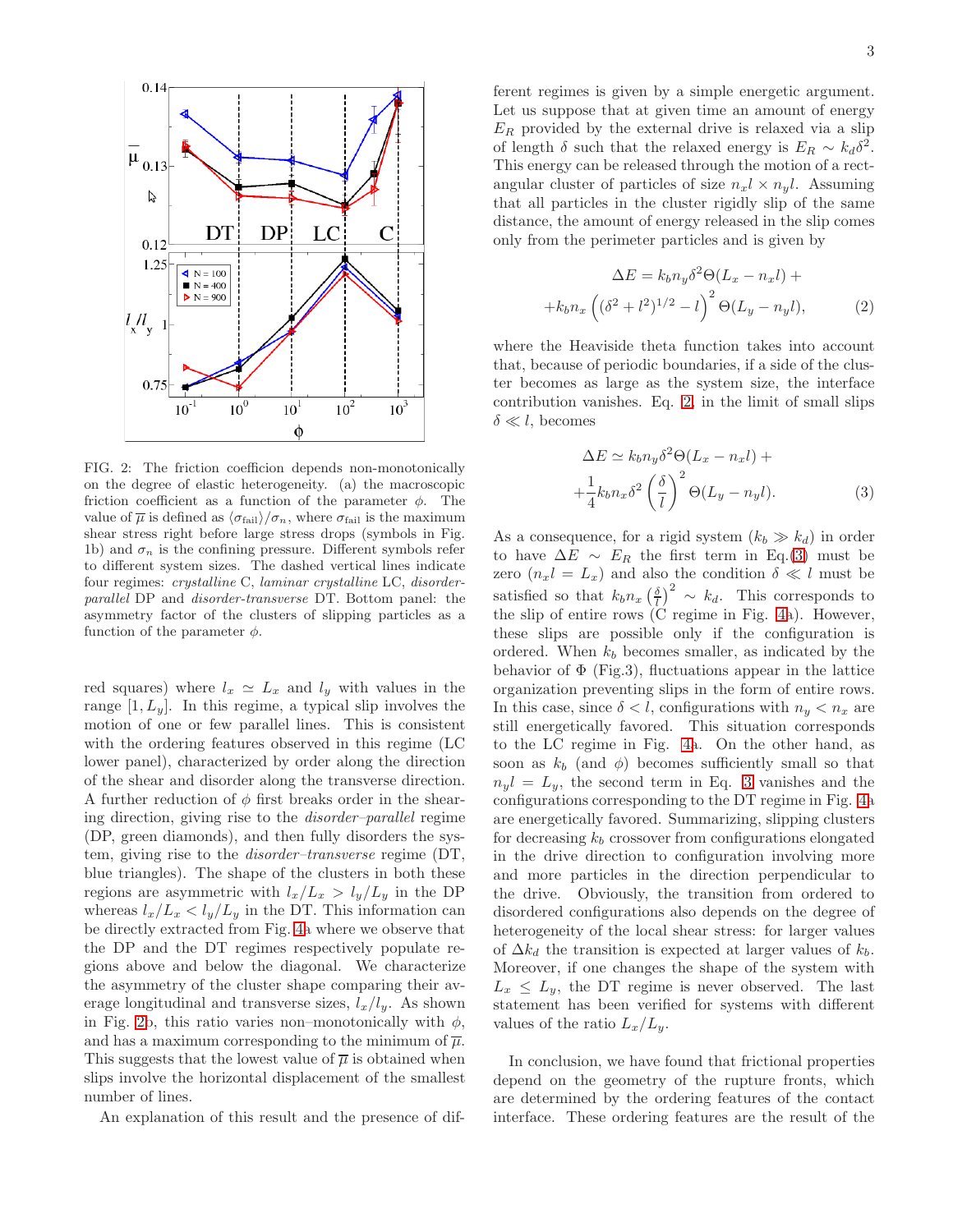

<span id="page-2-0"></span>FIG. 2: The friction coefficion depends non-monotonically on the degree of elastic heterogeneity. (a) the macroscopic friction coefficient as a function of the parameter  $\phi$ . The value of  $\overline{\mu}$  is defined as  $\langle \sigma_{\text{fail}} \rangle / \sigma_n$ , where  $\sigma_{\text{fail}}$  is the maximum shear stress right before large stress drops (symbols in Fig. 1b) and  $\sigma_n$  is the confining pressure. Different symbols refer to different system sizes. The dashed vertical lines indicate four regimes: crystalline C, laminar crystalline LC, disorderparallel DP and disorder-transverse DT. Bottom panel: the asymmetry factor of the clusters of slipping particles as a function of the parameter  $\phi$ .

red squares) where  $l_x \simeq L_x$  and  $l_y$  with values in the range  $[1, L_y]$ . In this regime, a typical slip involves the motion of one or few parallel lines. This is consistent with the ordering features observed in this regime (LC lower panel), characterized by order along the direction of the shear and disorder along the transverse direction. A further reduction of  $\phi$  first breaks order in the shearing direction, giving rise to the disorder–parallel regime (DP, green diamonds), and then fully disorders the system, giving rise to the disorder–transverse regime (DT, blue triangles). The shape of the clusters in both these regions are asymmetric with  $l_x/L_x > l_y/L_y$  in the DP whereas  $l_x/L_x < l_y/L_y$  in the DT. This information can be directly extracted from Fig. [4a](#page-3-2) where we observe that the DP and the DT regimes respectively populate regions above and below the diagonal. We characterize the asymmetry of the cluster shape comparing their average longitudinal and transverse sizes,  $l_x/l_y$ . As shown in Fig. [2b](#page-2-0), this ratio varies non–monotonically with  $\phi$ , and has a maximum corresponding to the minimum of  $\overline{\mu}$ . This suggests that the lowest value of  $\overline{\mu}$  is obtained when slips involve the horizontal displacement of the smallest number of lines.

An explanation of this result and the presence of dif-

ferent regimes is given by a simple energetic argument. Let us suppose that at given time an amount of energy  $E_R$  provided by the external drive is relaxed via a slip of length  $\delta$  such that the relaxed energy is  $E_R \sim k_d \delta^2$ . This energy can be released through the motion of a rectangular cluster of particles of size  $n_x l \times n_y l$ . Assuming that all particles in the cluster rigidly slip of the same distance, the amount of energy released in the slip comes only from the perimeter particles and is given by

<span id="page-2-1"></span>
$$
\Delta E = k_b n_y \delta^2 \Theta (L_x - n_x l) +
$$

$$
+ k_b n_x \left( (\delta^2 + l^2)^{1/2} - l \right)^2 \Theta (L_y - n_y l), \tag{2}
$$

where the Heaviside theta function takes into account that, because of periodic boundaries, if a side of the cluster becomes as large as the system size, the interface contribution vanishes. Eq. [2,](#page-2-1) in the limit of small slips  $\delta \ll l$ , becomes

<span id="page-2-2"></span>
$$
\Delta E \simeq k_b n_y \delta^2 \Theta (L_x - n_x l) +
$$
  
 
$$
+ \frac{1}{4} k_b n_x \delta^2 \left(\frac{\delta}{l}\right)^2 \Theta (L_y - n_y l).
$$
 (3)

As a consequence, for a rigid system  $(k_b \gg k_d)$  in order to have  $\Delta E \sim E_R$  the first term in Eq.[\(3\)](#page-2-2) must be zero  $(n_x l = L_x)$  and also the condition  $\delta \ll l$  must be satisfied so that  $k_b n_x \left(\frac{\delta}{l}\right)^2 \sim k_d$ . This corresponds to the slip of entire rows  $\overleftrightarrow{C}$  regime in Fig. [4a](#page-3-2)). However, these slips are possible only if the configuration is ordered. When  $k_b$  becomes smaller, as indicated by the behavior of  $\Phi$  (Fig.3), fluctuations appear in the lattice organization preventing slips in the form of entire rows. In this case, since  $\delta < l$ , configurations with  $n_y < n_x$  are still energetically favored. This situation corresponds to the LC regime in Fig. [4a](#page-3-2). On the other hand, as soon as  $k_b$  (and  $\phi$ ) becomes sufficiently small so that  $n_{\nu}l = L_{\nu}$ , the second term in Eq. [3](#page-2-2) vanishes and the configurations corresponding to the DT regime in Fig. [4a](#page-3-2) are energetically favored. Summarizing, slipping clusters for decreasing  $k_b$  crossover from configurations elongated in the drive direction to configuration involving more and more particles in the direction perpendicular to the drive. Obviously, the transition from ordered to disordered configurations also depends on the degree of heterogeneity of the local shear stress: for larger values of  $\Delta k_d$  the transition is expected at larger values of  $k_b$ . Moreover, if one changes the shape of the system with  $L_x \leq L_y$ , the DT regime is never observed. The last statement has been verified for systems with different values of the ratio  $L_x/L_y$ .

In conclusion, we have found that frictional properties depend on the geometry of the rupture fronts, which are determined by the ordering features of the contact interface. These ordering features are the result of the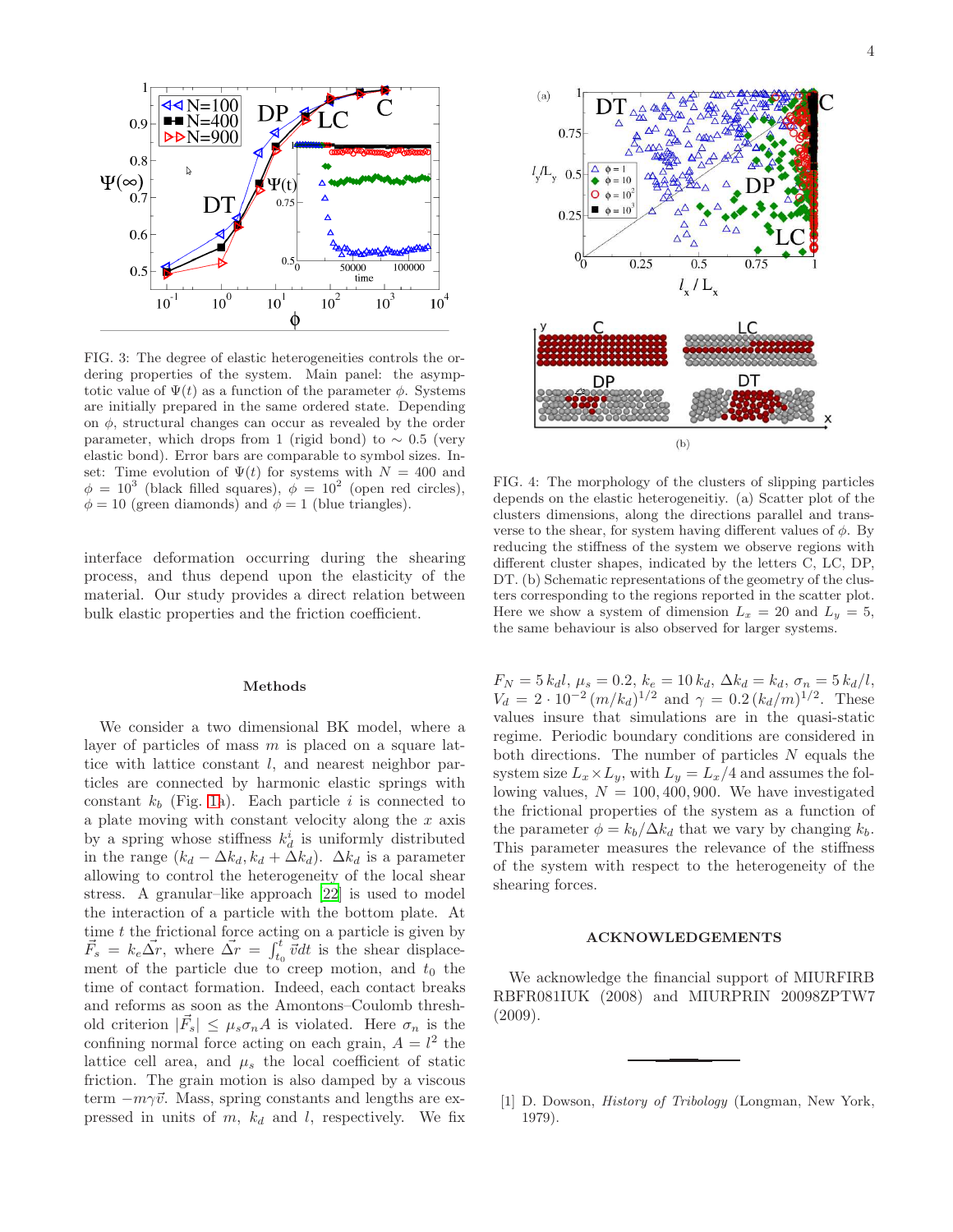

<span id="page-3-1"></span>FIG. 3: The degree of elastic heterogeneities controls the ordering properties of the system. Main panel: the asymptotic value of  $\Psi(t)$  as a function of the parameter  $\phi$ . Systems are initially prepared in the same ordered state. Depending on  $\phi$ , structural changes can occur as revealed by the order parameter, which drops from 1 (rigid bond) to  $\sim 0.5$  (very elastic bond). Error bars are comparable to symbol sizes. Inset: Time evolution of  $\Psi(t)$  for systems with  $N = 400$  and  $\phi = 10^3$  (black filled squares),  $\dot{\phi} = 10^2$  (open red circles),  $\phi = 10$  (green diamonds) and  $\phi = 1$  (blue triangles).

interface deformation occurring during the shearing process, and thus depend upon the elasticity of the material. Our study provides a direct relation between bulk elastic properties and the friction coefficient.

## Methods

We consider a two dimensional BK model, where a layer of particles of mass  $m$  is placed on a square lattice with lattice constant  $l$ , and nearest neighbor particles are connected by harmonic elastic springs with constant  $k_b$  (Fig. [1a](#page-1-0)). Each particle i is connected to a plate moving with constant velocity along the  $x$  axis by a spring whose stiffness  $k_d^i$  is uniformly distributed in the range  $(k_d - \Delta k_d, k_d + \Delta k_d)$ .  $\Delta k_d$  is a parameter allowing to control the heterogeneity of the local shear stress. A granular–like approach [\[22\]](#page-4-15) is used to model the interaction of a particle with the bottom plate. At time  $t$  the frictional force acting on a particle is given by  $\vec{F}_s = k_e \vec{\Delta r}$ , where  $\vec{\Delta r} = \int_{t_0}^t \vec{v} dt$  is the shear displacement of the particle due to creep motion, and  $t_0$  the time of contact formation. Indeed, each contact breaks and reforms as soon as the Amontons–Coulomb threshold criterion  $|\vec{F}_s| \leq \mu_s \sigma_n A$  is violated. Here  $\sigma_n$  is the confining normal force acting on each grain,  $A = l^2$  the lattice cell area, and  $\mu_s$  the local coefficient of static friction. The grain motion is also damped by a viscous term  $-m\gamma\vec{v}$ . Mass, spring constants and lengths are expressed in units of  $m$ ,  $k_d$  and l, respectively. We fix



<span id="page-3-2"></span>FIG. 4: The morphology of the clusters of slipping particles depends on the elastic heterogeneitiy. (a) Scatter plot of the clusters dimensions, along the directions parallel and transverse to the shear, for system having different values of  $\phi$ . By reducing the stiffness of the system we observe regions with different cluster shapes, indicated by the letters C, LC, DP, DT. (b) Schematic representations of the geometry of the clusters corresponding to the regions reported in the scatter plot. Here we show a system of dimension  $L_x = 20$  and  $L_y = 5$ , the same behaviour is also observed for larger systems.

 $F_N = 5 k_d l, \mu_s = 0.2, k_e = 10 k_d, \Delta k_d = k_d, \sigma_n = 5 k_d/l,$  $V_d = 2 \cdot 10^{-2} (m/k_d)^{1/2}$  and  $\gamma = 0.2 (k_d/m)^{1/2}$ . These values insure that simulations are in the quasi-static regime. Periodic boundary conditions are considered in both directions. The number of particles  $N$  equals the system size  $L_x \times L_y$ , with  $L_y = L_x/4$  and assumes the following values,  $N = 100, 400, 900$ . We have investigated the frictional properties of the system as a function of the parameter  $\phi = k_b/\Delta k_d$  that we vary by changing  $k_b$ . This parameter measures the relevance of the stiffness of the system with respect to the heterogeneity of the shearing forces.

## ACKNOWLEDGEMENTS

We acknowledge the financial support of MIURFIRB RBFR081IUK (2008) and MIURPRIN 20098ZPTW7 (2009).

<span id="page-3-0"></span>[1] D. Dowson, *History of Tribology* (Longman, New York, 1979).